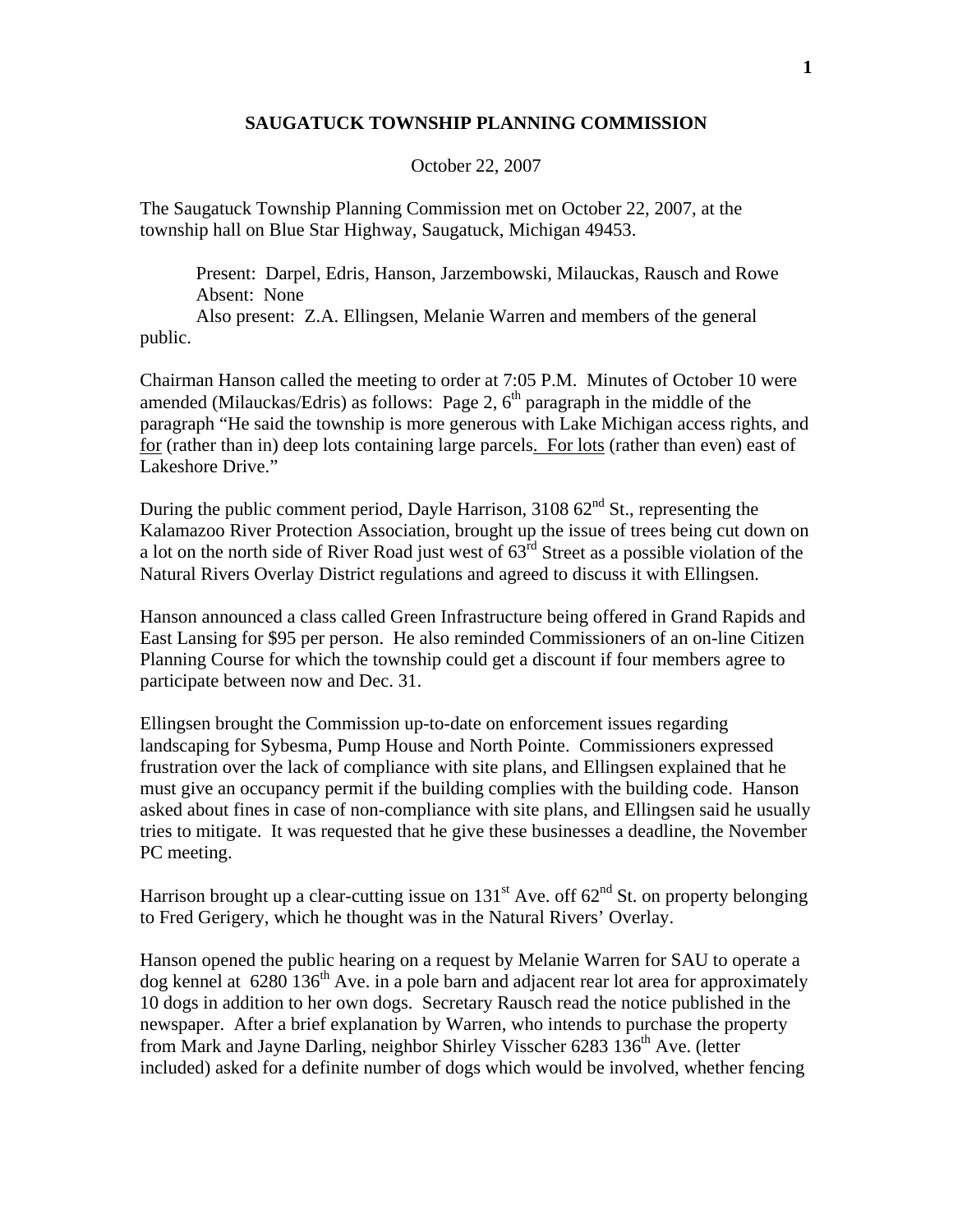## **SAUGATUCK TOWNSHIP PLANNING COMMISSION**

## October 22, 2007

The Saugatuck Township Planning Commission met on October 22, 2007, at the township hall on Blue Star Highway, Saugatuck, Michigan 49453.

 Present: Darpel, Edris, Hanson, Jarzembowski, Milauckas, Rausch and Rowe Absent: None Also present: Z.A. Ellingsen, Melanie Warren and members of the general

public.

Chairman Hanson called the meeting to order at 7:05 P.M. Minutes of October 10 were amended (Milauckas/Edris) as follows: Page 2,  $6<sup>th</sup>$  paragraph in the middle of the paragraph "He said the township is more generous with Lake Michigan access rights, and for (rather than in) deep lots containing large parcels. For lots (rather than even) east of Lakeshore Drive."

During the public comment period, Dayle Harrison,  $310862<sup>nd</sup>$  St., representing the Kalamazoo River Protection Association, brought up the issue of trees being cut down on a lot on the north side of River Road just west of  $63<sup>rd</sup>$  Street as a possible violation of the Natural Rivers Overlay District regulations and agreed to discuss it with Ellingsen.

Hanson announced a class called Green Infrastructure being offered in Grand Rapids and East Lansing for \$95 per person. He also reminded Commissioners of an on-line Citizen Planning Course for which the township could get a discount if four members agree to participate between now and Dec. 31.

Ellingsen brought the Commission up-to-date on enforcement issues regarding landscaping for Sybesma, Pump House and North Pointe. Commissioners expressed frustration over the lack of compliance with site plans, and Ellingsen explained that he must give an occupancy permit if the building complies with the building code. Hanson asked about fines in case of non-compliance with site plans, and Ellingsen said he usually tries to mitigate. It was requested that he give these businesses a deadline, the November PC meeting.

Harrison brought up a clear-cutting issue on  $131<sup>st</sup>$  Ave. off  $62<sup>nd</sup>$  St. on property belonging to Fred Gerigery, which he thought was in the Natural Rivers' Overlay.

Hanson opened the public hearing on a request by Melanie Warren for SAU to operate a dog kennel at  $6280\,136^{\text{th}}$  Ave. in a pole barn and adjacent rear lot area for approximately 10 dogs in addition to her own dogs. Secretary Rausch read the notice published in the newspaper. After a brief explanation by Warren, who intends to purchase the property from Mark and Jayne Darling, neighbor Shirley Visscher 6283  $136<sup>th</sup>$  Ave. (letter included) asked for a definite number of dogs which would be involved, whether fencing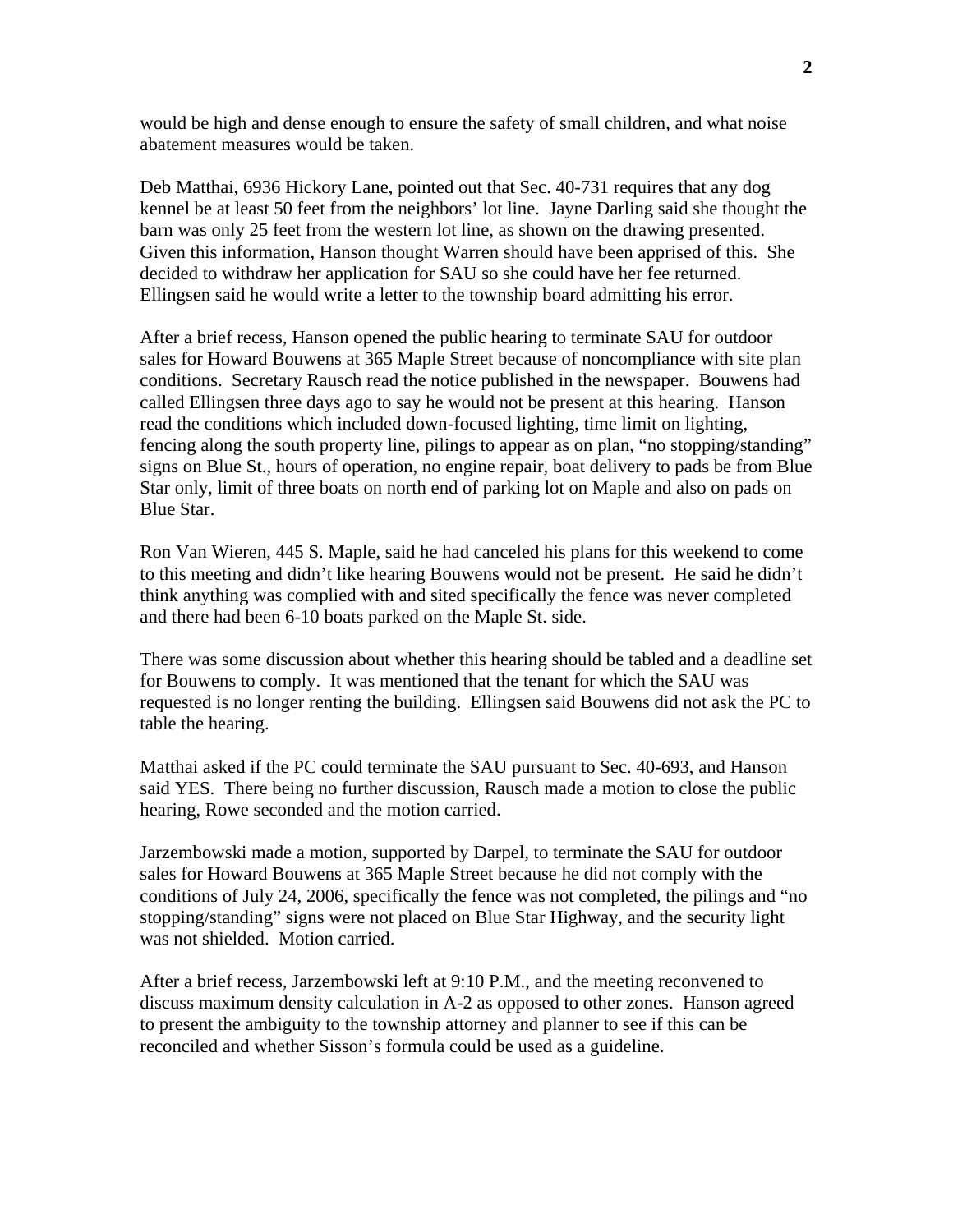would be high and dense enough to ensure the safety of small children, and what noise abatement measures would be taken.

Deb Matthai, 6936 Hickory Lane, pointed out that Sec. 40-731 requires that any dog kennel be at least 50 feet from the neighbors' lot line. Jayne Darling said she thought the barn was only 25 feet from the western lot line, as shown on the drawing presented. Given this information, Hanson thought Warren should have been apprised of this. She decided to withdraw her application for SAU so she could have her fee returned. Ellingsen said he would write a letter to the township board admitting his error.

After a brief recess, Hanson opened the public hearing to terminate SAU for outdoor sales for Howard Bouwens at 365 Maple Street because of noncompliance with site plan conditions. Secretary Rausch read the notice published in the newspaper. Bouwens had called Ellingsen three days ago to say he would not be present at this hearing. Hanson read the conditions which included down-focused lighting, time limit on lighting, fencing along the south property line, pilings to appear as on plan, "no stopping/standing" signs on Blue St., hours of operation, no engine repair, boat delivery to pads be from Blue Star only, limit of three boats on north end of parking lot on Maple and also on pads on Blue Star.

Ron Van Wieren, 445 S. Maple, said he had canceled his plans for this weekend to come to this meeting and didn't like hearing Bouwens would not be present. He said he didn't think anything was complied with and sited specifically the fence was never completed and there had been 6-10 boats parked on the Maple St. side.

There was some discussion about whether this hearing should be tabled and a deadline set for Bouwens to comply. It was mentioned that the tenant for which the SAU was requested is no longer renting the building. Ellingsen said Bouwens did not ask the PC to table the hearing.

Matthai asked if the PC could terminate the SAU pursuant to Sec. 40-693, and Hanson said YES. There being no further discussion, Rausch made a motion to close the public hearing, Rowe seconded and the motion carried.

Jarzembowski made a motion, supported by Darpel, to terminate the SAU for outdoor sales for Howard Bouwens at 365 Maple Street because he did not comply with the conditions of July 24, 2006, specifically the fence was not completed, the pilings and "no stopping/standing" signs were not placed on Blue Star Highway, and the security light was not shielded. Motion carried.

After a brief recess, Jarzembowski left at 9:10 P.M., and the meeting reconvened to discuss maximum density calculation in A-2 as opposed to other zones. Hanson agreed to present the ambiguity to the township attorney and planner to see if this can be reconciled and whether Sisson's formula could be used as a guideline.